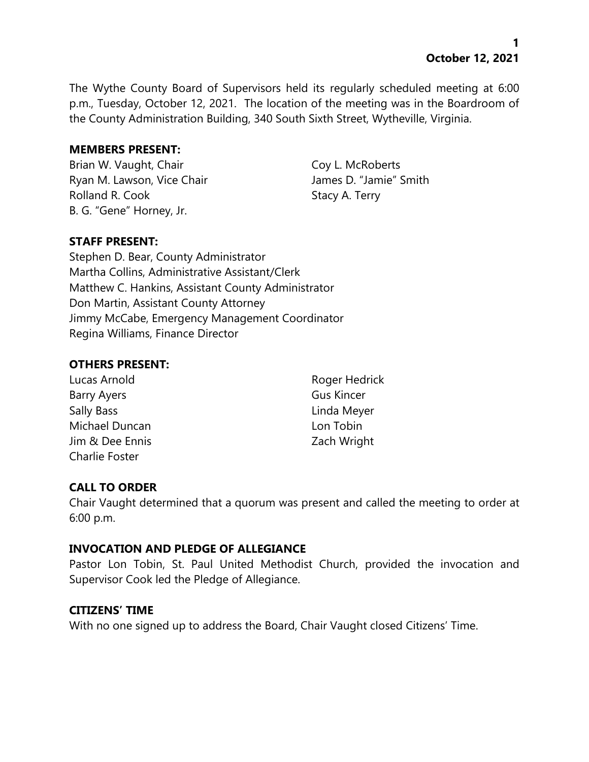**1 October 12, 2021**

The Wythe County Board of Supervisors held its regularly scheduled meeting at 6:00 p.m., Tuesday, October 12, 2021. The location of the meeting was in the Boardroom of the County Administration Building, 340 South Sixth Street, Wytheville, Virginia.

### **MEMBERS PRESENT:**

Brian W. Vaught, Chair Coy L. McRoberts Ryan M. Lawson, Vice Chair **James D. "Jamie"** Smith Rolland R. Cook Stacy A. Terry B. G. "Gene" Horney, Jr.

# **STAFF PRESENT:**

Stephen D. Bear, County Administrator Martha Collins, Administrative Assistant/Clerk Matthew C. Hankins, Assistant County Administrator Don Martin, Assistant County Attorney Jimmy McCabe, Emergency Management Coordinator Regina Williams, Finance Director

### **OTHERS PRESENT:**

Lucas Arnold **Roger Hedrick** Barry Ayers **Gus Kincer** Sally Bass **Linda Meyer** Michael Duncan Lon Tobin Jim & Dee Ennis Zach Wright Charlie Foster

# **CALL TO ORDER**

Chair Vaught determined that a quorum was present and called the meeting to order at 6:00 p.m.

# **INVOCATION AND PLEDGE OF ALLEGIANCE**

Pastor Lon Tobin, St. Paul United Methodist Church, provided the invocation and Supervisor Cook led the Pledge of Allegiance.

# **CITIZENS' TIME**

With no one signed up to address the Board, Chair Vaught closed Citizens' Time.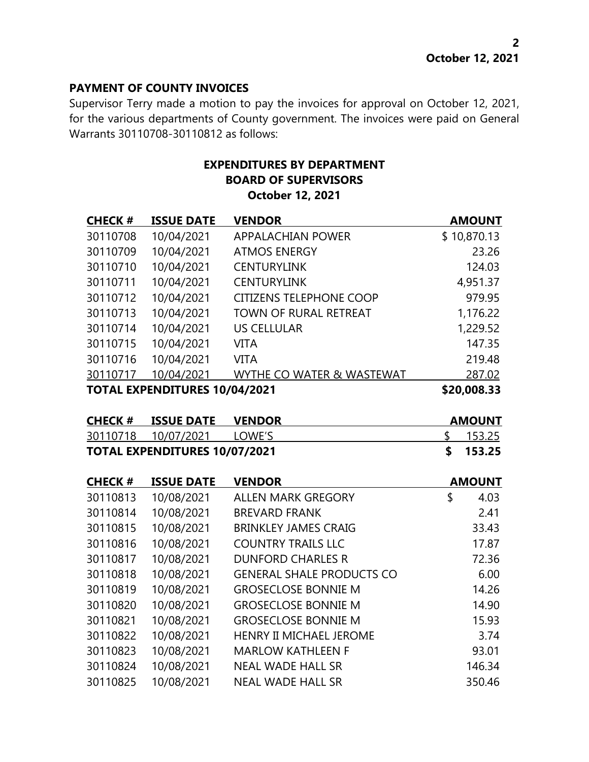### **PAYMENT OF COUNTY INVOICES**

Supervisor Terry made a motion to pay the invoices for approval on October 12, 2021, for the various departments of County government. The invoices were paid on General Warrants 30110708-30110812 as follows:

# **EXPENDITURES BY DEPARTMENT BOARD OF SUPERVISORS October 12, 2021**

| <b>CHECK#</b>                        | <b>ISSUE DATE</b> | <b>VENDOR</b>                  | <b>AMOUNT</b> |
|--------------------------------------|-------------------|--------------------------------|---------------|
| 30110708                             | 10/04/2021        | APPALACHIAN POWER              | \$10,870.13   |
| 30110709                             | 10/04/2021        | <b>ATMOS ENERGY</b>            | 23.26         |
| 30110710                             | 10/04/2021        | <b>CENTURYLINK</b>             | 124.03        |
| 30110711                             | 10/04/2021        | <b>CENTURYLINK</b>             | 4,951.37      |
| 30110712                             | 10/04/2021        | <b>CITIZENS TELEPHONE COOP</b> | 979.95        |
| 30110713                             | 10/04/2021        | <b>TOWN OF RURAL RETREAT</b>   | 1,176.22      |
| 30110714                             | 10/04/2021        | US CELLULAR                    | 1,229.52      |
| 30110715                             | 10/04/2021        | <b>VITA</b>                    | 147.35        |
| 30110716                             | 10/04/2021        | <b>VITA</b>                    | 219.48        |
| 30110717                             | 10/04/2021        | WYTHE CO WATER & WASTEWAT      | 287.02        |
| <b>TOTAL EXPENDITURES 10/04/2021</b> |                   |                                | \$20,008.33   |

| <b>CHECK # ISSUE DATE VENDOR</b>     | <b>AMOUNT</b> |
|--------------------------------------|---------------|
| 30110718  10/07/2021  LOWE'S         | \$ 153.25     |
| <b>TOTAL EXPENDITURES 10/07/2021</b> | \$153.25      |

| <b>CHECK#</b> | <b>ISSUE DATE</b> | <b>VENDOR</b>                    | <b>AMOUNT</b> |
|---------------|-------------------|----------------------------------|---------------|
| 30110813      | 10/08/2021        | <b>ALLEN MARK GREGORY</b>        | \$<br>4.03    |
| 30110814      | 10/08/2021        | <b>BREVARD FRANK</b>             | 2.41          |
| 30110815      | 10/08/2021        | <b>BRINKLEY JAMES CRAIG</b>      | 33.43         |
| 30110816      | 10/08/2021        | <b>COUNTRY TRAILS LLC</b>        | 17.87         |
| 30110817      | 10/08/2021        | <b>DUNFORD CHARLES R</b>         | 72.36         |
| 30110818      | 10/08/2021        | <b>GENERAL SHALE PRODUCTS CO</b> | 6.00          |
| 30110819      | 10/08/2021        | <b>GROSECLOSE BONNIE M</b>       | 14.26         |
| 30110820      | 10/08/2021        | <b>GROSECLOSE BONNIE M</b>       | 14.90         |
| 30110821      | 10/08/2021        | <b>GROSECLOSE BONNIE M</b>       | 15.93         |
| 30110822      | 10/08/2021        | HENRY II MICHAEL JEROME          | 3.74          |
| 30110823      | 10/08/2021        | <b>MARLOW KATHLEEN F</b>         | 93.01         |
| 30110824      | 10/08/2021        | <b>NEAL WADE HALL SR</b>         | 146.34        |
| 30110825      | 10/08/2021        | <b>NEAL WADE HALL SR</b>         | 350.46        |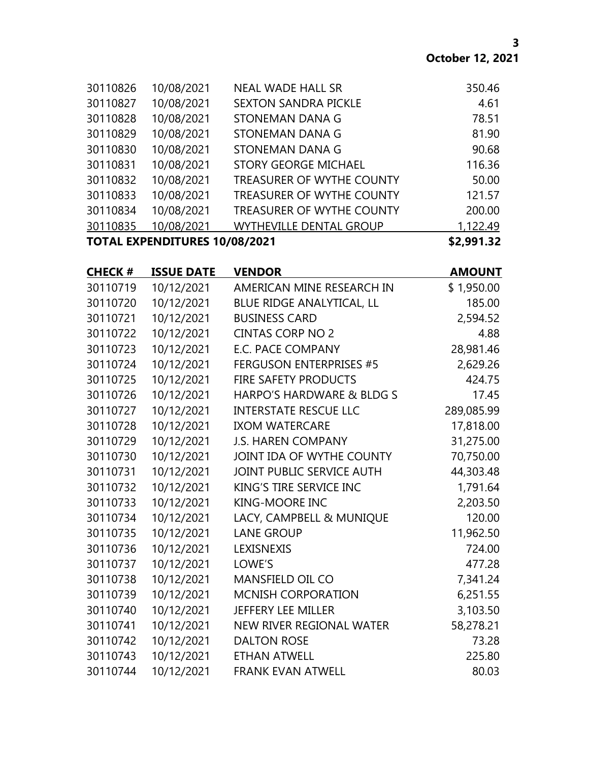| <b>TOTAL EXPENDITURES 10/08/2021</b> |            |                                  | \$2,991.32 |
|--------------------------------------|------------|----------------------------------|------------|
| 30110835                             | 10/08/2021 | <b>WYTHEVILLE DENTAL GROUP</b>   | 1,122.49   |
| 30110834                             | 10/08/2021 | <b>TREASURER OF WYTHE COUNTY</b> | 200.00     |
| 30110833                             | 10/08/2021 | <b>TREASURER OF WYTHE COUNTY</b> | 121.57     |
| 30110832                             | 10/08/2021 | <b>TREASURER OF WYTHE COUNTY</b> | 50.00      |
| 30110831                             | 10/08/2021 | <b>STORY GEORGE MICHAEL</b>      | 116.36     |
| 30110830                             | 10/08/2021 | STONEMAN DANA G                  | 90.68      |
| 30110829                             | 10/08/2021 | STONEMAN DANA G                  | 81.90      |
| 30110828                             | 10/08/2021 | STONEMAN DANA G                  | 78.51      |
| 30110827                             | 10/08/2021 | <b>SEXTON SANDRA PICKLE</b>      | 4.61       |
| 30110826                             | 10/08/2021 | <b>NEAL WADE HALL SR</b>         | 350.46     |

| <b>CHECK#</b> | <b>ISSUE DATE</b> | <b>VENDOR</b>                  | <b>AMOUNT</b> |
|---------------|-------------------|--------------------------------|---------------|
| 30110719      | 10/12/2021        | AMERICAN MINE RESEARCH IN      | \$1,950.00    |
| 30110720      | 10/12/2021        | BLUE RIDGE ANALYTICAL, LL      | 185.00        |
| 30110721      | 10/12/2021        | <b>BUSINESS CARD</b>           | 2,594.52      |
| 30110722      | 10/12/2021        | <b>CINTAS CORP NO 2</b>        | 4.88          |
| 30110723      | 10/12/2021        | <b>E.C. PACE COMPANY</b>       | 28,981.46     |
| 30110724      | 10/12/2021        | <b>FERGUSON ENTERPRISES #5</b> | 2,629.26      |
| 30110725      | 10/12/2021        | <b>FIRE SAFETY PRODUCTS</b>    | 424.75        |
| 30110726      | 10/12/2021        | HARPO'S HARDWARE & BLDG S      | 17.45         |
| 30110727      | 10/12/2021        | <b>INTERSTATE RESCUE LLC</b>   | 289,085.99    |
| 30110728      | 10/12/2021        | <b>IXOM WATERCARE</b>          | 17,818.00     |
| 30110729      | 10/12/2021        | <b>J.S. HAREN COMPANY</b>      | 31,275.00     |
| 30110730      | 10/12/2021        | JOINT IDA OF WYTHE COUNTY      | 70,750.00     |
| 30110731      | 10/12/2021        | JOINT PUBLIC SERVICE AUTH      | 44,303.48     |
| 30110732      | 10/12/2021        | KING'S TIRE SERVICE INC        | 1,791.64      |
| 30110733      | 10/12/2021        | <b>KING-MOORE INC</b>          | 2,203.50      |
| 30110734      | 10/12/2021        | LACY, CAMPBELL & MUNIQUE       | 120.00        |
| 30110735      | 10/12/2021        | <b>LANE GROUP</b>              | 11,962.50     |
| 30110736      | 10/12/2021        | LEXISNEXIS                     | 724.00        |
| 30110737      | 10/12/2021        | LOWE'S                         | 477.28        |
| 30110738      | 10/12/2021        | <b>MANSFIELD OIL CO</b>        | 7,341.24      |
| 30110739      | 10/12/2021        | <b>MCNISH CORPORATION</b>      | 6,251.55      |
| 30110740      | 10/12/2021        | <b>JEFFERY LEE MILLER</b>      | 3,103.50      |
| 30110741      | 10/12/2021        | NEW RIVER REGIONAL WATER       | 58,278.21     |
| 30110742      | 10/12/2021        | <b>DALTON ROSE</b>             | 73.28         |
| 30110743      | 10/12/2021        | <b>ETHAN ATWELL</b>            | 225.80        |
| 30110744      | 10/12/2021        | <b>FRANK EVAN ATWELL</b>       | 80.03         |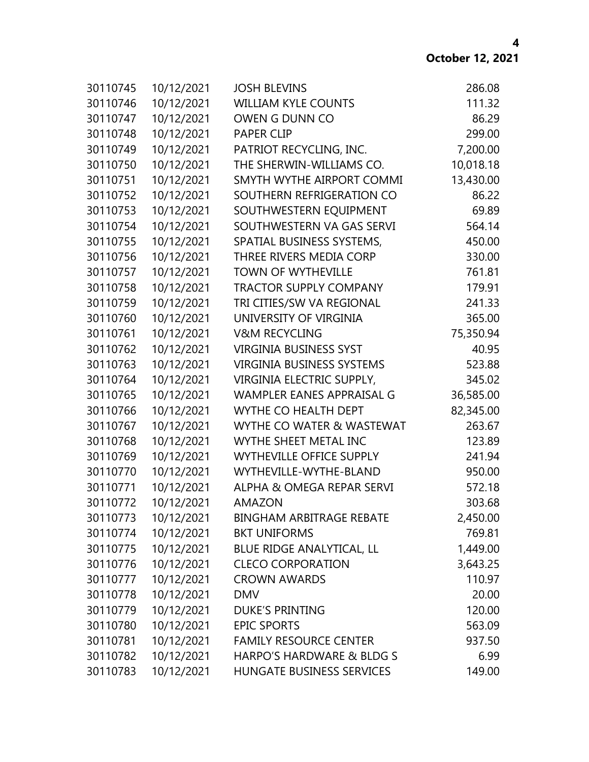| 30110745 | 10/12/2021 | <b>JOSH BLEVINS</b>                  | 286.08    |
|----------|------------|--------------------------------------|-----------|
| 30110746 | 10/12/2021 | <b>WILLIAM KYLE COUNTS</b>           | 111.32    |
| 30110747 | 10/12/2021 | OWEN G DUNN CO                       | 86.29     |
| 30110748 | 10/12/2021 | <b>PAPER CLIP</b>                    | 299.00    |
| 30110749 | 10/12/2021 | PATRIOT RECYCLING, INC.              | 7,200.00  |
| 30110750 | 10/12/2021 | THE SHERWIN-WILLIAMS CO.             | 10,018.18 |
| 30110751 | 10/12/2021 | SMYTH WYTHE AIRPORT COMMI            | 13,430.00 |
| 30110752 | 10/12/2021 | SOUTHERN REFRIGERATION CO            | 86.22     |
| 30110753 | 10/12/2021 | SOUTHWESTERN EQUIPMENT               | 69.89     |
| 30110754 | 10/12/2021 | SOUTHWESTERN VA GAS SERVI            | 564.14    |
| 30110755 | 10/12/2021 | SPATIAL BUSINESS SYSTEMS,            | 450.00    |
| 30110756 | 10/12/2021 | THREE RIVERS MEDIA CORP              | 330.00    |
| 30110757 | 10/12/2021 | <b>TOWN OF WYTHEVILLE</b>            | 761.81    |
| 30110758 | 10/12/2021 | <b>TRACTOR SUPPLY COMPANY</b>        | 179.91    |
| 30110759 | 10/12/2021 | TRI CITIES/SW VA REGIONAL            | 241.33    |
| 30110760 | 10/12/2021 | UNIVERSITY OF VIRGINIA               | 365.00    |
| 30110761 | 10/12/2021 | <b>V&amp;M RECYCLING</b>             | 75,350.94 |
| 30110762 | 10/12/2021 | <b>VIRGINIA BUSINESS SYST</b>        | 40.95     |
| 30110763 | 10/12/2021 | <b>VIRGINIA BUSINESS SYSTEMS</b>     | 523.88    |
| 30110764 | 10/12/2021 | VIRGINIA ELECTRIC SUPPLY,            | 345.02    |
| 30110765 | 10/12/2021 | WAMPLER EANES APPRAISAL G            | 36,585.00 |
| 30110766 | 10/12/2021 | WYTHE CO HEALTH DEPT                 | 82,345.00 |
| 30110767 | 10/12/2021 | WYTHE CO WATER & WASTEWAT            | 263.67    |
| 30110768 | 10/12/2021 | WYTHE SHEET METAL INC                | 123.89    |
| 30110769 | 10/12/2021 | <b>WYTHEVILLE OFFICE SUPPLY</b>      | 241.94    |
| 30110770 | 10/12/2021 | WYTHEVILLE-WYTHE-BLAND               | 950.00    |
| 30110771 | 10/12/2021 | <b>ALPHA &amp; OMEGA REPAR SERVI</b> | 572.18    |
| 30110772 | 10/12/2021 | <b>AMAZON</b>                        | 303.68    |
| 30110773 | 10/12/2021 | <b>BINGHAM ARBITRAGE REBATE</b>      | 2,450.00  |
| 30110774 | 10/12/2021 | <b>BKT UNIFORMS</b>                  | 769.81    |
| 30110775 | 10/12/2021 | BLUE RIDGE ANALYTICAL, LL            | 1,449.00  |
| 30110776 | 10/12/2021 | <b>CLECO CORPORATION</b>             | 3,643.25  |
| 30110777 | 10/12/2021 | <b>CROWN AWARDS</b>                  | 110.97    |
| 30110778 | 10/12/2021 | <b>DMV</b>                           | 20.00     |
| 30110779 | 10/12/2021 | <b>DUKE'S PRINTING</b>               | 120.00    |
| 30110780 | 10/12/2021 | <b>EPIC SPORTS</b>                   | 563.09    |
| 30110781 | 10/12/2021 | <b>FAMILY RESOURCE CENTER</b>        | 937.50    |
| 30110782 | 10/12/2021 | HARPO'S HARDWARE & BLDG S            | 6.99      |
| 30110783 | 10/12/2021 | <b>HUNGATE BUSINESS SERVICES</b>     | 149.00    |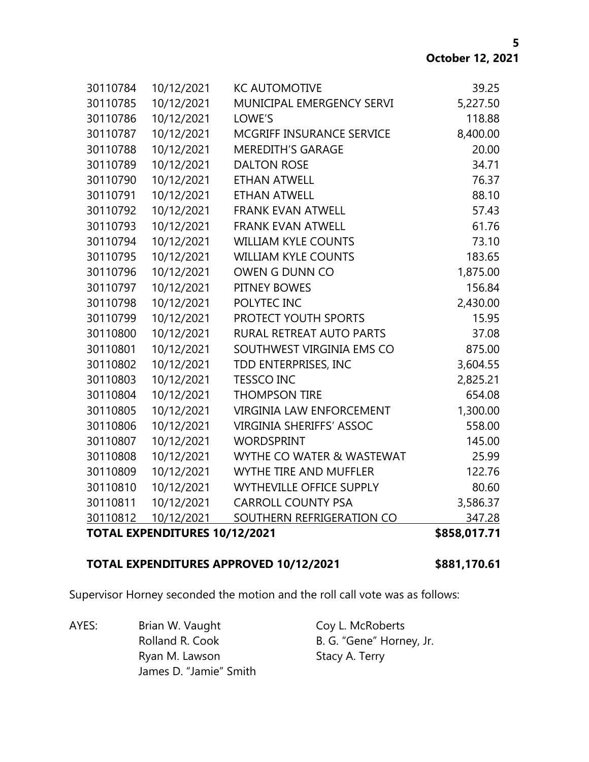|          | <b>TOTAL EXPENDITURES 10/12/2021</b> |                                 | \$858,017.71 |
|----------|--------------------------------------|---------------------------------|--------------|
| 30110812 | 10/12/2021                           | SOUTHERN REFRIGERATION CO       | 347.28       |
| 30110811 | 10/12/2021                           | <b>CARROLL COUNTY PSA</b>       | 3,586.37     |
| 30110810 | 10/12/2021                           | <b>WYTHEVILLE OFFICE SUPPLY</b> | 80.60        |
| 30110809 | 10/12/2021                           | WYTHE TIRE AND MUFFLER          | 122.76       |
| 30110808 | 10/12/2021                           | WYTHE CO WATER & WASTEWAT       | 25.99        |
| 30110807 | 10/12/2021                           | <b>WORDSPRINT</b>               | 145.00       |
| 30110806 | 10/12/2021                           | <b>VIRGINIA SHERIFFS' ASSOC</b> | 558.00       |
| 30110805 | 10/12/2021                           | <b>VIRGINIA LAW ENFORCEMENT</b> | 1,300.00     |
| 30110804 | 10/12/2021                           | <b>THOMPSON TIRE</b>            | 654.08       |
| 30110803 | 10/12/2021                           | <b>TESSCO INC</b>               | 2,825.21     |
| 30110802 | 10/12/2021                           | TDD ENTERPRISES, INC            | 3,604.55     |
| 30110801 | 10/12/2021                           | SOUTHWEST VIRGINIA EMS CO       | 875.00       |
| 30110800 | 10/12/2021                           | RURAL RETREAT AUTO PARTS        | 37.08        |
| 30110799 | 10/12/2021                           | PROTECT YOUTH SPORTS            | 15.95        |
| 30110798 | 10/12/2021                           | POLYTEC INC                     | 2,430.00     |
| 30110797 | 10/12/2021                           | PITNEY BOWES                    | 156.84       |
| 30110796 | 10/12/2021                           | OWEN G DUNN CO                  | 1,875.00     |
| 30110795 | 10/12/2021                           | <b>WILLIAM KYLE COUNTS</b>      | 183.65       |
| 30110794 | 10/12/2021                           | <b>WILLIAM KYLE COUNTS</b>      | 73.10        |
| 30110793 | 10/12/2021                           | <b>FRANK EVAN ATWELL</b>        | 61.76        |
| 30110792 | 10/12/2021                           | <b>FRANK EVAN ATWELL</b>        | 57.43        |
| 30110791 | 10/12/2021                           | <b>ETHAN ATWELL</b>             | 88.10        |
| 30110790 | 10/12/2021                           | <b>ETHAN ATWELL</b>             | 76.37        |
| 30110789 | 10/12/2021                           | <b>DALTON ROSE</b>              | 34.71        |
| 30110788 | 10/12/2021                           | <b>MEREDITH'S GARAGE</b>        | 20.00        |
| 30110787 | 10/12/2021                           | MCGRIFF INSURANCE SERVICE       | 8,400.00     |
| 30110786 | 10/12/2021                           | LOWE'S                          | 118.88       |
| 30110785 | 10/12/2021                           | MUNICIPAL EMERGENCY SERVI       | 5,227.50     |
| 30110784 | 10/12/2021                           | <b>KC AUTOMOTIVE</b>            | 39.25        |

### **TOTAL EXPENDITURES APPROVED 10/12/2021 \$881,170.61**

Supervisor Horney seconded the motion and the roll call vote was as follows:

AYES: Brian W. Vaught Coy L. McRoberts Rolland R. Cook B. G. "Gene" Horney, Jr. Ryan M. Lawson Stacy A. Terry James D. "Jamie" Smith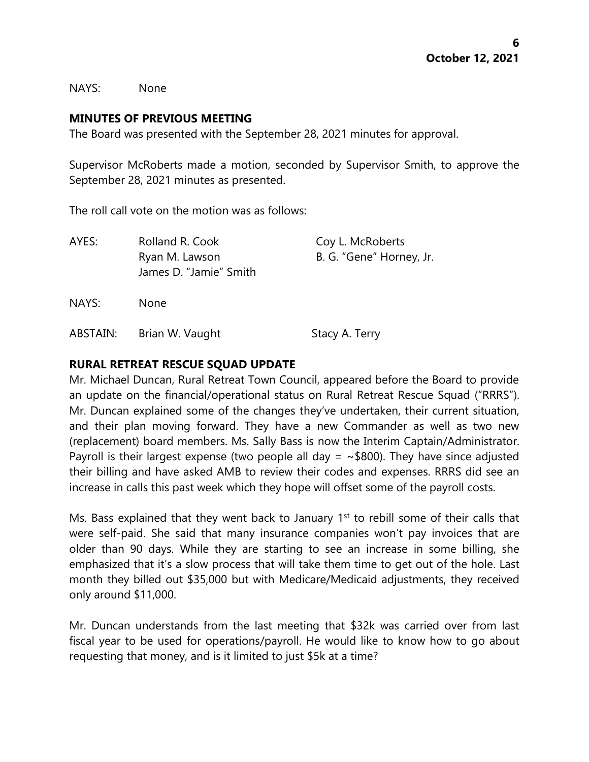NAYS: None

#### **MINUTES OF PREVIOUS MEETING**

The Board was presented with the September 28, 2021 minutes for approval.

Supervisor McRoberts made a motion, seconded by Supervisor Smith, to approve the September 28, 2021 minutes as presented.

The roll call vote on the motion was as follows:

| AYES:    | Rolland R. Cook<br>Ryan M. Lawson<br>James D. "Jamie" Smith | Coy L. McRoberts<br>B. G. "Gene" Horney, Jr. |
|----------|-------------------------------------------------------------|----------------------------------------------|
| NAYS:    | <b>None</b>                                                 |                                              |
| ABSTAIN: | Brian W. Vaught                                             | Stacy A. Terry                               |

# **RURAL RETREAT RESCUE SQUAD UPDATE**

Mr. Michael Duncan, Rural Retreat Town Council, appeared before the Board to provide an update on the financial/operational status on Rural Retreat Rescue Squad ("RRRS"). Mr. Duncan explained some of the changes they've undertaken, their current situation, and their plan moving forward. They have a new Commander as well as two new (replacement) board members. Ms. Sally Bass is now the Interim Captain/Administrator. Payroll is their largest expense (two people all day =  $\sim$ \$800). They have since adjusted their billing and have asked AMB to review their codes and expenses. RRRS did see an increase in calls this past week which they hope will offset some of the payroll costs.

Ms. Bass explained that they went back to January  $1<sup>st</sup>$  to rebill some of their calls that were self-paid. She said that many insurance companies won't pay invoices that are older than 90 days. While they are starting to see an increase in some billing, she emphasized that it's a slow process that will take them time to get out of the hole. Last month they billed out \$35,000 but with Medicare/Medicaid adjustments, they received only around \$11,000.

Mr. Duncan understands from the last meeting that \$32k was carried over from last fiscal year to be used for operations/payroll. He would like to know how to go about requesting that money, and is it limited to just \$5k at a time?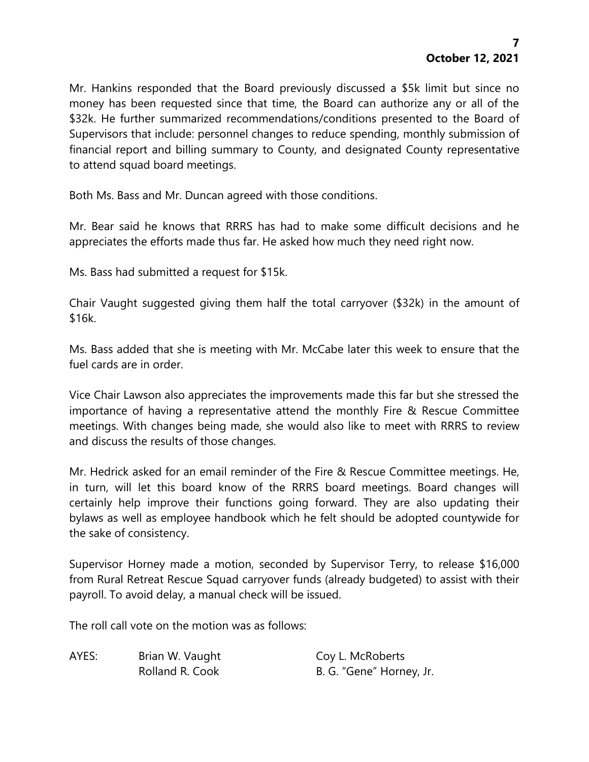Mr. Hankins responded that the Board previously discussed a \$5k limit but since no money has been requested since that time, the Board can authorize any or all of the \$32k. He further summarized recommendations/conditions presented to the Board of Supervisors that include: personnel changes to reduce spending, monthly submission of financial report and billing summary to County, and designated County representative to attend squad board meetings.

Both Ms. Bass and Mr. Duncan agreed with those conditions.

Mr. Bear said he knows that RRRS has had to make some difficult decisions and he appreciates the efforts made thus far. He asked how much they need right now.

Ms. Bass had submitted a request for \$15k.

Chair Vaught suggested giving them half the total carryover (\$32k) in the amount of \$16k.

Ms. Bass added that she is meeting with Mr. McCabe later this week to ensure that the fuel cards are in order.

Vice Chair Lawson also appreciates the improvements made this far but she stressed the importance of having a representative attend the monthly Fire & Rescue Committee meetings. With changes being made, she would also like to meet with RRRS to review and discuss the results of those changes.

Mr. Hedrick asked for an email reminder of the Fire & Rescue Committee meetings. He, in turn, will let this board know of the RRRS board meetings. Board changes will certainly help improve their functions going forward. They are also updating their bylaws as well as employee handbook which he felt should be adopted countywide for the sake of consistency.

Supervisor Horney made a motion, seconded by Supervisor Terry, to release \$16,000 from Rural Retreat Rescue Squad carryover funds (already budgeted) to assist with their payroll. To avoid delay, a manual check will be issued.

The roll call vote on the motion was as follows:

AYES: Brian W. Vaught Coy L. McRoberts

Rolland R. Cook B. G. "Gene" Horney, Jr.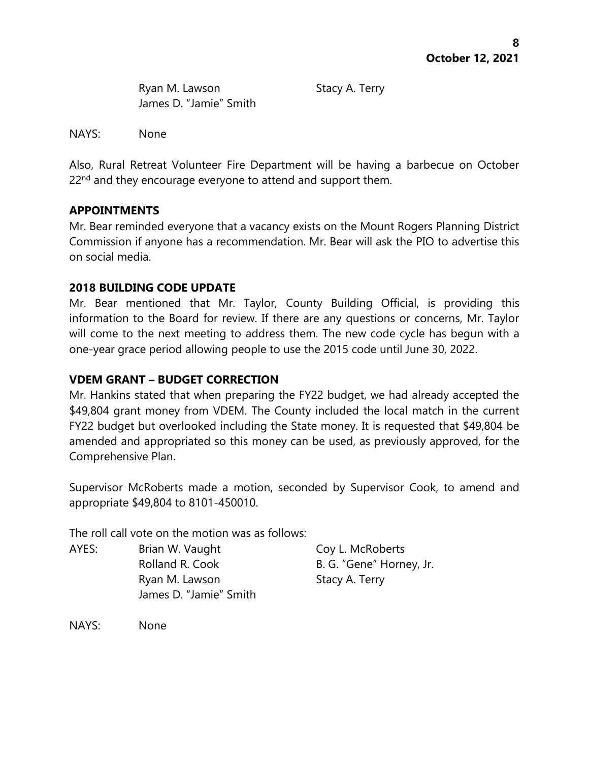Ryan M. Lawson Stacy A. Terry James D. "Jamie" Smith

NAYS: None

Also, Rural Retreat Volunteer Fire Department will be having a barbecue on October 22<sup>nd</sup> and they encourage everyone to attend and support them.

# **APPOINTMENTS**

Mr. Bear reminded everyone that a vacancy exists on the Mount Rogers Planning District Commission if anyone has a recommendation. Mr. Bear will ask the PIO to advertise this on social media.

# **2018 BUILDING CODE UPDATE**

Mr. Bear mentioned that Mr. Taylor, County Building Official, is providing this information to the Board for review. If there are any questions or concerns, Mr. Taylor will come to the next meeting to address them. The new code cycle has begun with a one-year grace period allowing people to use the 2015 code until June 30, 2022.

# **VDEM GRANT – BUDGET CORRECTION**

Mr. Hankins stated that when preparing the FY22 budget, we had already accepted the \$49,804 grant money from VDEM. The County included the local match in the current FY22 budget but overlooked including the State money. It is requested that \$49,804 be amended and appropriated so this money can be used, as previously approved, for the Comprehensive Plan.

Supervisor McRoberts made a motion, seconded by Supervisor Cook, to amend and appropriate \$49,804 to 8101-450010.

The roll call vote on the motion was as follows:

| AYES: | Brian W. Vaught        | Coy L. McRoberts         |
|-------|------------------------|--------------------------|
|       | Rolland R. Cook        | B. G. "Gene" Horney, Jr. |
|       | Ryan M. Lawson         | Stacy A. Terry           |
|       | James D. "Jamie" Smith |                          |

NAYS: None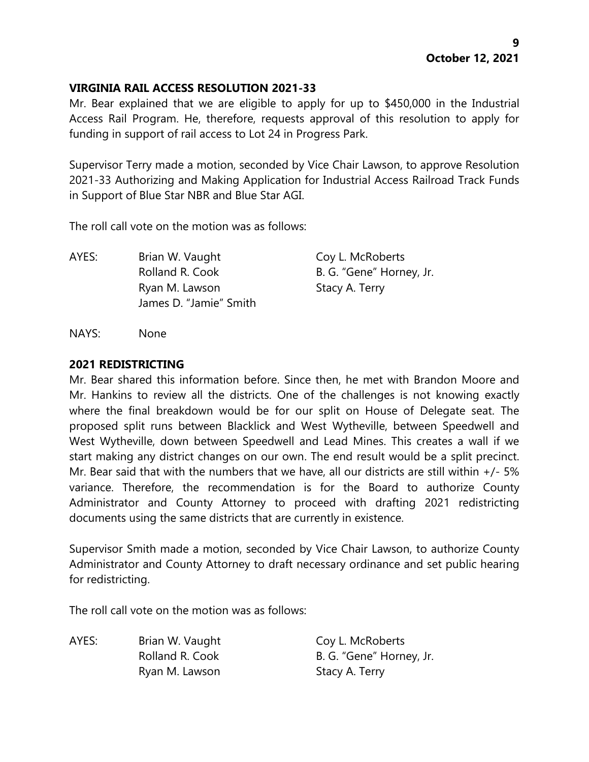# **VIRGINIA RAIL ACCESS RESOLUTION 2021-33**

Mr. Bear explained that we are eligible to apply for up to \$450,000 in the Industrial Access Rail Program. He, therefore, requests approval of this resolution to apply for funding in support of rail access to Lot 24 in Progress Park.

Supervisor Terry made a motion, seconded by Vice Chair Lawson, to approve Resolution 2021-33 Authorizing and Making Application for Industrial Access Railroad Track Funds in Support of Blue Star NBR and Blue Star AGI.

The roll call vote on the motion was as follows:

AYES: Brian W. Vaught Coy L. McRoberts Rolland R. Cook B. G. "Gene" Horney, Jr. Ryan M. Lawson Stacy A. Terry James D. "Jamie" Smith

NAYS: None

# **2021 REDISTRICTING**

Mr. Bear shared this information before. Since then, he met with Brandon Moore and Mr. Hankins to review all the districts. One of the challenges is not knowing exactly where the final breakdown would be for our split on House of Delegate seat. The proposed split runs between Blacklick and West Wytheville, between Speedwell and West Wytheville, down between Speedwell and Lead Mines. This creates a wall if we start making any district changes on our own. The end result would be a split precinct. Mr. Bear said that with the numbers that we have, all our districts are still within  $+/-5\%$ variance. Therefore, the recommendation is for the Board to authorize County Administrator and County Attorney to proceed with drafting 2021 redistricting documents using the same districts that are currently in existence.

Supervisor Smith made a motion, seconded by Vice Chair Lawson, to authorize County Administrator and County Attorney to draft necessary ordinance and set public hearing for redistricting.

The roll call vote on the motion was as follows:

AYES: Brian W. Vaught Coy L. McRoberts Ryan M. Lawson Stacy A. Terry

Rolland R. Cook B. G. "Gene" Horney, Jr.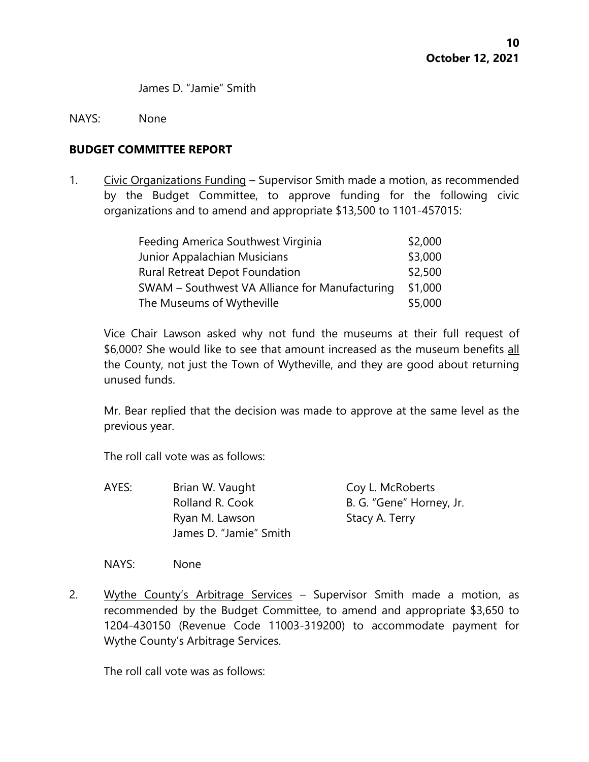James D. "Jamie" Smith

#### NAYS: None

#### **BUDGET COMMITTEE REPORT**

1. Civic Organizations Funding – Supervisor Smith made a motion, as recommended by the Budget Committee, to approve funding for the following civic organizations and to amend and appropriate \$13,500 to 1101-457015:

| Feeding America Southwest Virginia             | \$2,000 |
|------------------------------------------------|---------|
| Junior Appalachian Musicians                   | \$3,000 |
| <b>Rural Retreat Depot Foundation</b>          | \$2,500 |
| SWAM - Southwest VA Alliance for Manufacturing | \$1,000 |
| The Museums of Wytheville                      | \$5,000 |

Vice Chair Lawson asked why not fund the museums at their full request of \$6,000? She would like to see that amount increased as the museum benefits all the County, not just the Town of Wytheville, and they are good about returning unused funds.

Mr. Bear replied that the decision was made to approve at the same level as the previous year.

The roll call vote was as follows:

AYES: Brian W. Vaught Coy L. McRoberts Rolland R. Cook B. G. "Gene" Horney, Jr. Ryan M. Lawson Stacy A. Terry James D. "Jamie" Smith

NAYS: None

2. Wythe County's Arbitrage Services - Supervisor Smith made a motion, as recommended by the Budget Committee, to amend and appropriate \$3,650 to 1204-430150 (Revenue Code 11003-319200) to accommodate payment for Wythe County's Arbitrage Services.

The roll call vote was as follows: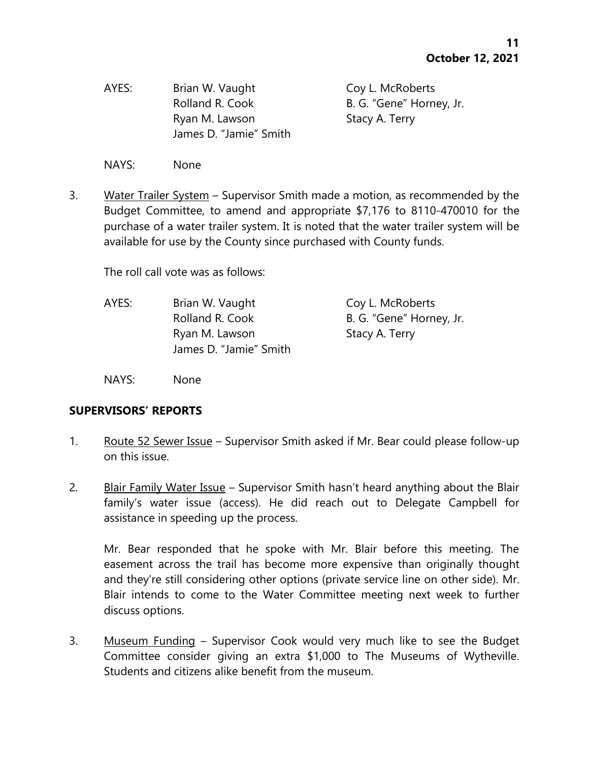AYES: Brian W. Vaught Coy L. McRoberts Ryan M. Lawson Stacy A. Terry James D. "Jamie" Smith

Rolland R. Cook B. G. "Gene" Horney, Jr.

NAYS: None

3. Water Trailer System – Supervisor Smith made a motion, as recommended by the Budget Committee, to amend and appropriate \$7,176 to 8110-470010 for the purchase of a water trailer system. It is noted that the water trailer system will be available for use by the County since purchased with County funds.

The roll call vote was as follows:

| Brian W. Vaught        | Coy L. McRoberts         |
|------------------------|--------------------------|
| Rolland R. Cook        | B. G. "Gene" Horney, Jr. |
| Ryan M. Lawson         | Stacy A. Terry           |
| James D. "Jamie" Smith |                          |
|                        |                          |

NAYS: None

# **SUPERVISORS' REPORTS**

- 1. Route 52 Sewer Issue Supervisor Smith asked if Mr. Bear could please follow-up on this issue.
- 2. Blair Family Water Issue Supervisor Smith hasn't heard anything about the Blair family's water issue (access). He did reach out to Delegate Campbell for assistance in speeding up the process.

Mr. Bear responded that he spoke with Mr. Blair before this meeting. The easement across the trail has become more expensive than originally thought and they're still considering other options (private service line on other side). Mr. Blair intends to come to the Water Committee meeting next week to further discuss options.

3. Museum Funding – Supervisor Cook would very much like to see the Budget Committee consider giving an extra \$1,000 to The Museums of Wytheville. Students and citizens alike benefit from the museum.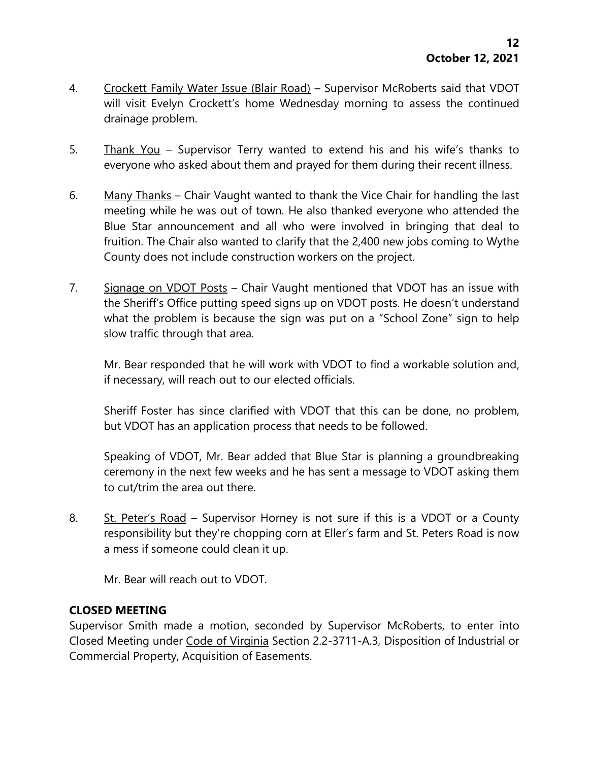- 4. Crockett Family Water Issue (Blair Road) Supervisor McRoberts said that VDOT will visit Evelyn Crockett's home Wednesday morning to assess the continued drainage problem.
- 5. Thank You Supervisor Terry wanted to extend his and his wife's thanks to everyone who asked about them and prayed for them during their recent illness.
- 6. Many Thanks Chair Vaught wanted to thank the Vice Chair for handling the last meeting while he was out of town. He also thanked everyone who attended the Blue Star announcement and all who were involved in bringing that deal to fruition. The Chair also wanted to clarify that the 2,400 new jobs coming to Wythe County does not include construction workers on the project.
- 7. Signage on VDOT Posts Chair Vaught mentioned that VDOT has an issue with the Sheriff's Office putting speed signs up on VDOT posts. He doesn't understand what the problem is because the sign was put on a "School Zone" sign to help slow traffic through that area.

Mr. Bear responded that he will work with VDOT to find a workable solution and, if necessary, will reach out to our elected officials.

Sheriff Foster has since clarified with VDOT that this can be done, no problem, but VDOT has an application process that needs to be followed.

Speaking of VDOT, Mr. Bear added that Blue Star is planning a groundbreaking ceremony in the next few weeks and he has sent a message to VDOT asking them to cut/trim the area out there.

8. St. Peter's Road – Supervisor Horney is not sure if this is a VDOT or a County responsibility but they're chopping corn at Eller's farm and St. Peters Road is now a mess if someone could clean it up.

Mr. Bear will reach out to VDOT.

# **CLOSED MEETING**

Supervisor Smith made a motion, seconded by Supervisor McRoberts, to enter into Closed Meeting under Code of Virginia Section 2.2-3711-A.3, Disposition of Industrial or Commercial Property, Acquisition of Easements.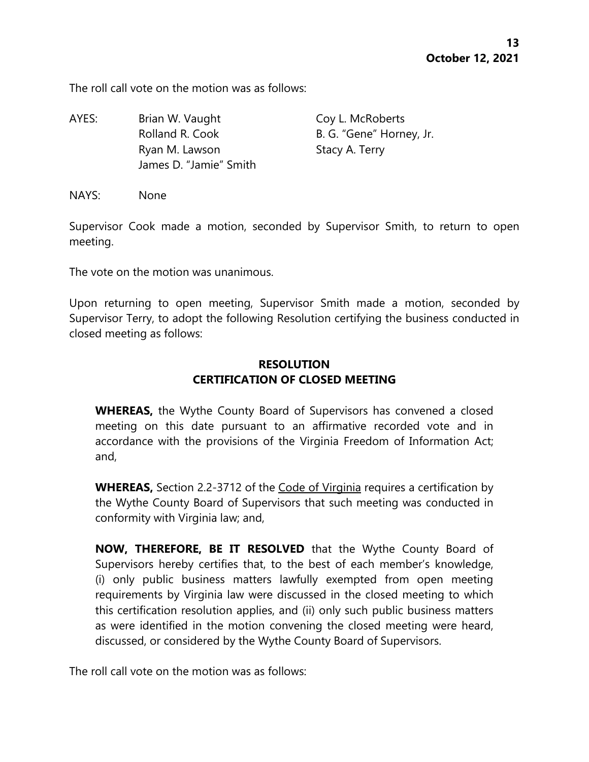The roll call vote on the motion was as follows:

AYES: Brian W. Vaught Coy L. McRoberts Rolland R. Cook B. G. "Gene" Horney, Jr. Ryan M. Lawson Stacy A. Terry James D. "Jamie" Smith

NAYS: None

Supervisor Cook made a motion, seconded by Supervisor Smith, to return to open meeting.

The vote on the motion was unanimous.

Upon returning to open meeting, Supervisor Smith made a motion, seconded by Supervisor Terry, to adopt the following Resolution certifying the business conducted in closed meeting as follows:

# **RESOLUTION CERTIFICATION OF CLOSED MEETING**

**WHEREAS,** the Wythe County Board of Supervisors has convened a closed meeting on this date pursuant to an affirmative recorded vote and in accordance with the provisions of the Virginia Freedom of Information Act; and,

**WHEREAS,** Section 2.2-3712 of the Code of Virginia requires a certification by the Wythe County Board of Supervisors that such meeting was conducted in conformity with Virginia law; and,

**NOW, THEREFORE, BE IT RESOLVED** that the Wythe County Board of Supervisors hereby certifies that, to the best of each member's knowledge, (i) only public business matters lawfully exempted from open meeting requirements by Virginia law were discussed in the closed meeting to which this certification resolution applies, and (ii) only such public business matters as were identified in the motion convening the closed meeting were heard, discussed, or considered by the Wythe County Board of Supervisors.

The roll call vote on the motion was as follows: